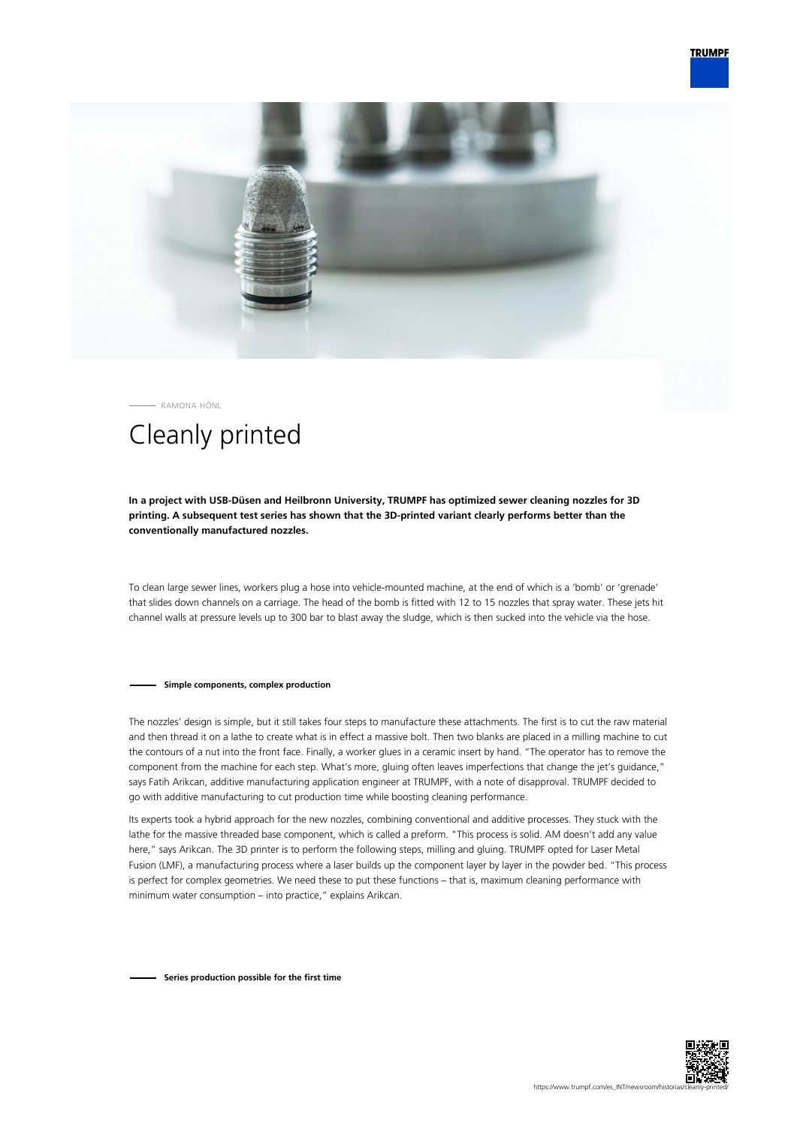



RAMONA HÖNL

## Cleanly printed

## **In a project with USB-Düsen and Heilbronn University, TRUMPF has optimized sewer cleaning nozzles for 3D printing. A subsequent test series has shown that the 3D-printed variant clearly performs better than the conventionally manufactured nozzles.**

To clean large sewer lines, workers plug a hose into vehicle-mounted machine, at the end of which is a 'bomb' or 'grenade' that slides down channels on a carriage. The head of the bomb is fitted with 12 to 15 nozzles that spray water. These jets hit channel walls at pressure levels up to 300 bar to blast away the sludge, which is then sucked into the vehicle via the hose.

## **Simple components, complex production**

The nozzles' design is simple, but it still takes four steps to manufacture these attachments. The first is to cut the raw material and then thread it on a lathe to create what is in effect a massive bolt. Then two blanks are placed in a milling machine to cut the contours of a nut into the front face. Finally, a worker glues in a ceramic insert by hand. "The operator has to remove the component from the machine for each step. What's more, gluing often leaves imperfections that change the jet's guidance," says Fatih Arikcan, additive manufacturing application engineer at TRUMPF, with a note of disapproval. TRUMPF decided to go with additive manufacturing to cut production time while boosting cleaning performance.

Its experts took a hybrid approach for the new nozzles, combining conventional and additive processes. They stuck with the lathe for the massive threaded base component, which is called a preform. "This process is solid. AM doesn't add any value here," says Arikcan. The 3D printer is to perform the following steps, milling and gluing. TRUMPF opted for Laser Metal Fusion (LMF), a manufacturing process where a laser builds up the component layer by layer in the powder bed. "This process is perfect for complex geometries. We need these to put these functions – that is, maximum cleaning performance with minimum water consumption – into practice," explains Arikcan.

**Series production possible for the first time**